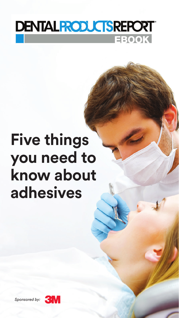

# **Five things you need to know about adhesives**

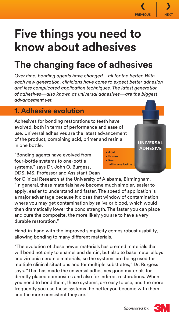# **Five things you need to know about adhesives**

# **The changing face of adhesives**

*Over time, bonding agents have changed—all for the better. With each new generation, clinicians have come to expect better adhesion and less complicated application techniques. The latest generation of adhesives—also known as universal adhesives—are the biggest advancement yet.*

#### **1. Adhesive evolution**

Adhesives for bonding restorations to teeth have evolved, both in terms of performance and ease of use. Universal adhesives are the latest advancement of the product, combining acid, primer and resin all in one bottle.

"Bonding agents have evolved from four-bottle systems to one-bottle systems," says Dr. John O. Burgess, DDS, MS, Professor and Assistant Dean

for Clinical Research at the University of Alabama, Birmingham. "In general, these materials have become much simpler, easier to apply, easier to understand and faster. The speed of application is a major advantage because it closes that window of contamination where you may get contamination by saliva or blood, which would then dramatically lower the bond strength. The faster you can place and cure the composite, the more likely you are to have a very durable restoration."

Hand-in-hand with the improved simplicity comes robust usability, allowing bonding to many different materials.

"The evolution of these newer materials has created materials that will bond not only to enamel and dentin, but also to base metal alloys and zirconia ceramic materials, so the systems are being used for multiple clinical situations and for multiple substrates," Dr. Burgess says. "That has made the universal adhesives good materials for directly placed composites and also for indirect restorations. When you need to bond them, these systems, are easy to use, and the more frequently you use these systems the better you become with them and the more consistent they are."







**UNIVERSAL ADHESIVE**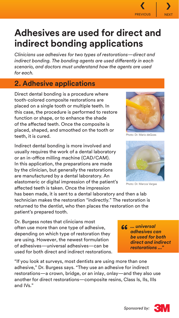

### **Adhesives are used for direct and indirect bonding applications**

*Clinicians use adhesives for two types of restorations—direct and indirect bonding. The bonding agents are used differently in each scenario, and doctors must understand how the agents are used for each.*

### **2. Adhesive applications**

Direct dental bonding is a procedure where tooth-colored composite restorations are placed on a single tooth or multiple teeth. In this case, the procedure is performed to restore function or shape, or to enhance the shade of the affected teeth. Once the composite is placed, shaped, and smoothed on the tooth or teeth, it is cured.

Indirect dental bonding is more involved and usually requires the work of a dental laboratory or an in-office milling machine (CAD/CAM). In this application, the preparations are made by the clinician, but generally the restorations are manufactured by a dental laboratory. An elastomeric or digital impression of the patient's affected teeth is taken. Once the impression

has been made, it is sent to a dental laboratory and then a lab technician makes the restoration "indirectly." The restoration is returned to the dentist, who then places the restoration on the patient's prepared tooth.

Dr. Burgess notes that clinicians most often use more than one type of adhesive, depending on which type of restoration they are using. However, the newest formulation of adhesives—universal adhesives—can be used for both direct and indirect restorations.

"If you look at surveys, most dentists are using more than one adhesive," Dr. Burgess says. "They use an adhesive for indirect restorations—a crown, bridge, or an inlay, onlay—and they also use another for direct restorations—composite resins, Class Is, IIs, IIIs and IVs."



Photo: Dr. Mario deGoes



Photo: Dr. Marcos Vargas

**"** *... universal adhesives can be used for both direct and indirect restorations ..."*

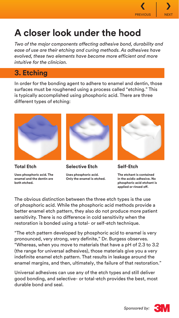

## **A closer look under the hood**

*Two of the major components affecting adhesive bond, durability and ease of use are their etching and curing methods. As adhesives have evolved, these two elements have become more efficient and more intuitive for the clinician.*

### **3. Etching**

In order for the bonding agent to adhere to enamel and dentin, those surfaces must be roughened using a process called "etching." This is typically accomplished using phosphoric acid. There are three different types of etching:



**Total Etch Uses phosphoric acid. The enamel and the dentin are both etched.**



**Selective Etch**

**Uses phosphoric acid. Only the enamel is etched.**



**Self-Etch**

**The etchant is contained in the acidic adhesive. No phosphoric acid etchant is applied or rinsed off.**

The obvious distinction between the three etch types is the use of phosphoric acid. While the phosphoric acid methods provide a better enamel etch pattern, they also do not produce more patient sensitivity. There is no difference in cold sensitivity when the restoration is bonded using a total- or self-etch technique.

"The etch pattern developed by phosphoric acid to enamel is very pronounced, very strong, very definite," Dr. Burgess observes. "Whereas, when you move to materials that have a pH of 2.3 to 3.2 (the range for universal adhesives), those materials give you a very indefinite enamel etch pattern. That results in leakage around the enamel margins, and then, ultimately, the failure of that restoration."

Universal adhesives can use any of the etch types and still deliver good bonding, and selective- or total-etch provides the best, most durable bond and seal.

*Sponsored by:*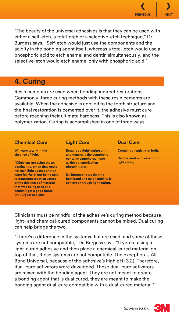

"The beauty of the universal adhesives is that they can be used with either a self-etch, a total-etch or a selective-etch technique," Dr. Burgess says. "Self-etch would just use the components and the acidity in the bonding agent itself, whereas a total-etch would use a phosphoric acid to etch enamel and dentin simultaneously, and the selective-etch would etch enamel only with phosphoric acid."

#### **4. Curing**

Resin cements are used when bonding indirect restorations. Commonly, three curing methods with these resin cements are available. When the adhesive is applied to the tooth structure and the final restoration is cemented over it, the adhesive must cure before reaching their ultimate hardness. This is also known as polymerization. Curing is accomplished in one of three ways:

#### **Chemical Cure**

**Will cure totally in the absence of light.** 

**"Clinicians are using those, dominantly, when they could not gain light access or they were fearful of not being able to penetrate tooth structure or the thickness of material that was being used and couldn't get a good bond," Dr. Burgess explains.**

#### **Light Cure**

**Requires a light-curing unit, and generally the composite contains camphorquinone as the polymerization photoinitiator.** 

**Dr. Burgess notes that the best bond and color stability is achieved through light curing.**

#### **Dual Cure**

**Contains chemistry of both.** 

**Can be used with or without light curing.**

Clinicians must be mindful of the adhesive's curing method because light- and chemical-cured components cannot be mixed. Dual curing can help bridge the two.

"There's a difference in the systems that are used, and some of these systems are not compatible," Dr. Burgess says. "If you're using a light-cured adhesive and then place a chemical-cured material on top of that, those systems are not compatible. The exception is All Bond Universal, because of the adhesive's high pH (3.2). Therefore, dual-cure activators were developed. These dual-cure activators are mixed with the bonding agent. They are not meant to create a bonding agent that is dual cured, they are meant to make the bonding agent dual-cure compatible with a dual-cured material."